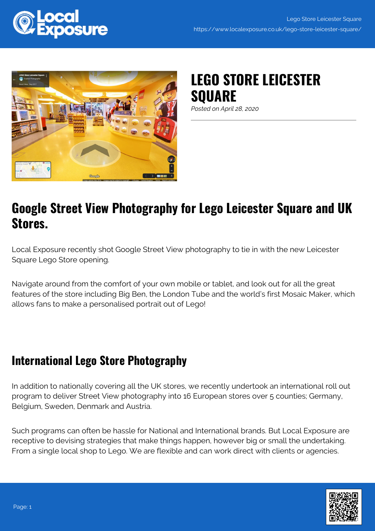

## **LEGO STORE LEICESTER SQUARE**

*Posted on April 28, 2020*

## **Google Street View Photography for Lego Leicester Square and UK Stores.**

Local Exposure recently shot Google Street View photography to tie in with the new Leicester Square Lego Store opening.

Navigate around from the comfort of your own mobile or tablet, and look out for all the great features of the store including Big Ben, the London Tube and the world's first Mosaic Maker, which allows fans to make a personalised portrait out of Lego!

## **International Lego Store Photography**

In addition to nationally covering all the UK stores, we recently undertook an international roll out program to deliver Street View photography into 16 European stores over 5 counties; Germany, Belgium, Sweden, Denmark and Austria.

Such programs can often be hassle for National and International brands. But Local Exposure are receptive to devising strategies that make things happen, however big or small the undertaking. From a single local shop to Lego. We are flexible and can work direct with clients or agencies.